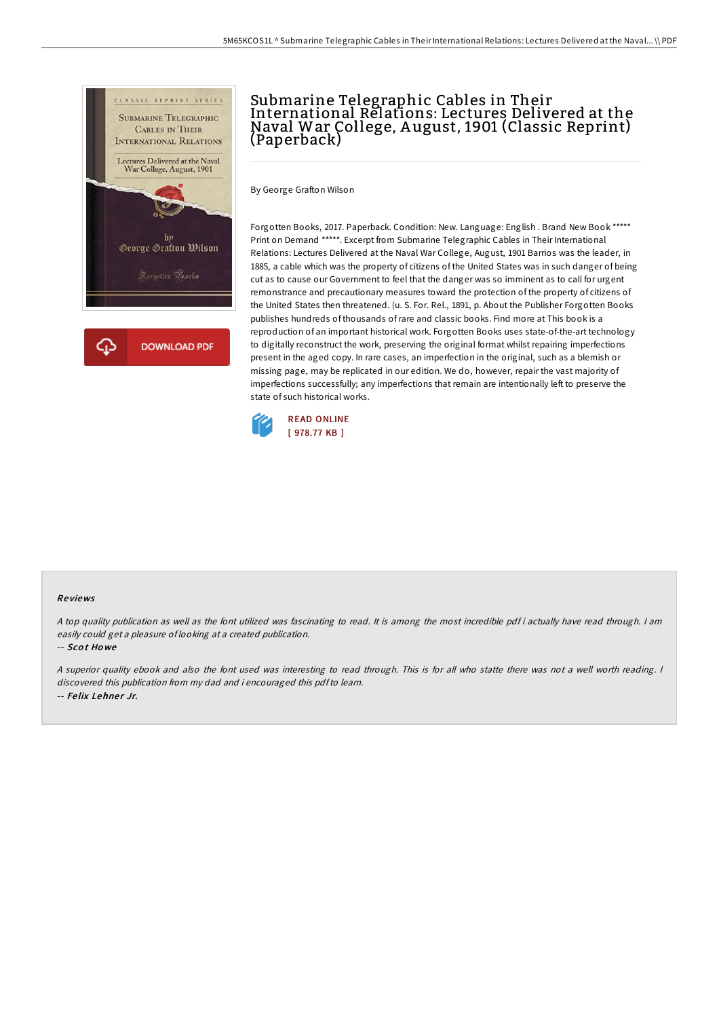

## Submarine Telegraphic Cables in Their International Relations: Lectures Delivered at the Naval War College, A ugust, 1901 (Classic Reprint) (Paperback)

By George Grafton Wilson

Forgotten Books, 2017. Paperback. Condition: New. Language: English . Brand New Book \*\*\*\*\* Print on Demand \*\*\*\*\*. Excerpt from Submarine Telegraphic Cables in Their International Relations: Lectures Delivered at the Naval War College, August, 1901 Barrios was the leader, in 1885, a cable which was the property of citizens of the United States was in such danger of being cut as to cause our Government to feel that the danger was so imminent as to call for urgent remonstrance and precautionary measures toward the protection of the property of citizens of the United States then threatened. (u. S. For. Rel., 1891, p. About the Publisher Forgotten Books publishes hundreds of thousands ofrare and classic books. Find more at This book is a reproduction of an important historical work. Forgotten Books uses state-of-the-art technology to digitally reconstruct the work, preserving the original format whilst repairing imperfections present in the aged copy. In rare cases, an imperfection in the original, such as a blemish or missing page, may be replicated in our edition. We do, however, repair the vast majority of imperfections successfully; any imperfections that remain are intentionally left to preserve the state of such historical works.



## Re views

A top quality publication as well as the font utilized was fascinating to read. It is among the most incredible pdf i actually have read through. I am easily could get <sup>a</sup> pleasure of looking at <sup>a</sup> created publication.

-- Sco t Ho we

<sup>A</sup> superior quality ebook and also the font used was interesting to read through. This is for all who statte there was not <sup>a</sup> well worth reading. <sup>I</sup> discovered this publication from my dad and i encouraged this pdfto learn. -- Felix Lehner Jr.